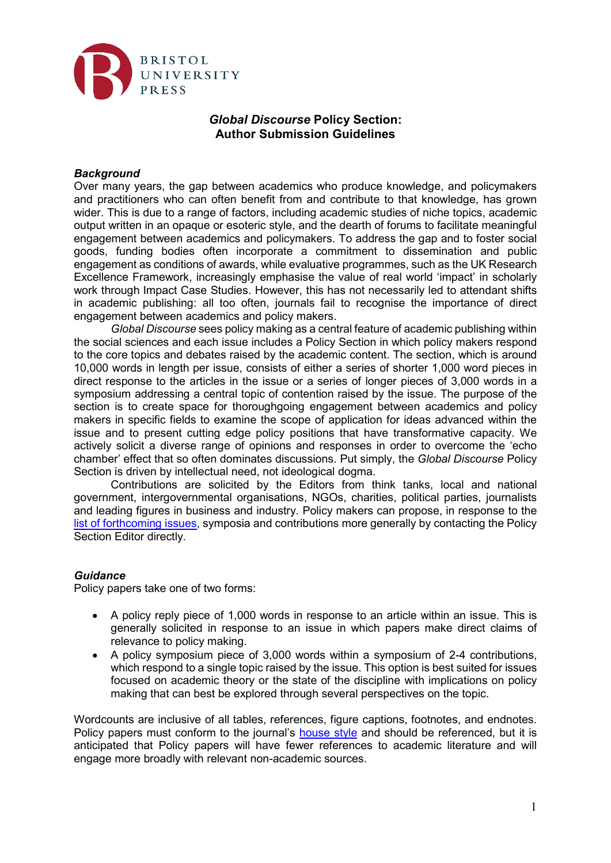

# *Global Discourse* **Policy Section: Author Submission Guidelines**

## *Background*

Over many years, the gap between academics who produce knowledge, and policymakers and practitioners who can often benefit from and contribute to that knowledge, has grown wider. This is due to a range of factors, including academic studies of niche topics, academic output written in an opaque or esoteric style, and the dearth of forums to facilitate meaningful engagement between academics and policymakers. To address the gap and to foster social goods, funding bodies often incorporate a commitment to dissemination and public engagement as conditions of awards, while evaluative programmes, such as the UK Research Excellence Framework, increasingly emphasise the value of real world 'impact' in scholarly work through Impact Case Studies. However, this has not necessarily led to attendant shifts in academic publishing: all too often, journals fail to recognise the importance of direct engagement between academics and policy makers.

*Global Discourse* sees policy making as a central feature of academic publishing within the social sciences and each issue includes a Policy Section in which policy makers respond to the core topics and debates raised by the academic content. The section, which is around 10,000 words in length per issue, consists of either a series of shorter 1,000 word pieces in direct response to the articles in the issue or a series of longer pieces of 3,000 words in a symposium addressing a central topic of contention raised by the issue. The purpose of the section is to create space for thoroughgoing engagement between academics and policy makers in specific fields to examine the scope of application for ideas advanced within the issue and to present cutting edge policy positions that have transformative capacity. We actively solicit a diverse range of opinions and responses in order to overcome the 'echo chamber' effect that so often dominates discussions. Put simply, the *Global Discourse* Policy Section is driven by intellectual need, not ideological dogma.

Contributions are solicited by the Editors from think tanks, local and national government, intergovernmental organisations, NGOs, charities, political parties, journalists and leading figures in business and industry. Policy makers can propose, in response to the [list of forthcoming issues,](https://bristoluniversitypress.co.uk/journals/global-discourse/calls-for-papers) symposia and contributions more generally by contacting the Policy Section Editor directly.

#### *Guidance*

Policy papers take one of two forms:

- A policy reply piece of 1,000 words in response to an article within an issue. This is generally solicited in response to an issue in which papers make direct claims of relevance to policy making.
- A policy symposium piece of 3,000 words within a symposium of 2-4 contributions, which respond to a single topic raised by the issue. This option is best suited for issues focused on academic theory or the state of the discipline with implications on policy making that can best be explored through several perspectives on the topic.

Wordcounts are inclusive of all tables, references, figure captions, footnotes, and endnotes. Policy papers must conform to the journal's [house style](https://bristoluniversitypress.co.uk/journals/global-discourse/instructions-for-authors) and should be referenced, but it is anticipated that Policy papers will have fewer references to academic literature and will engage more broadly with relevant non-academic sources.